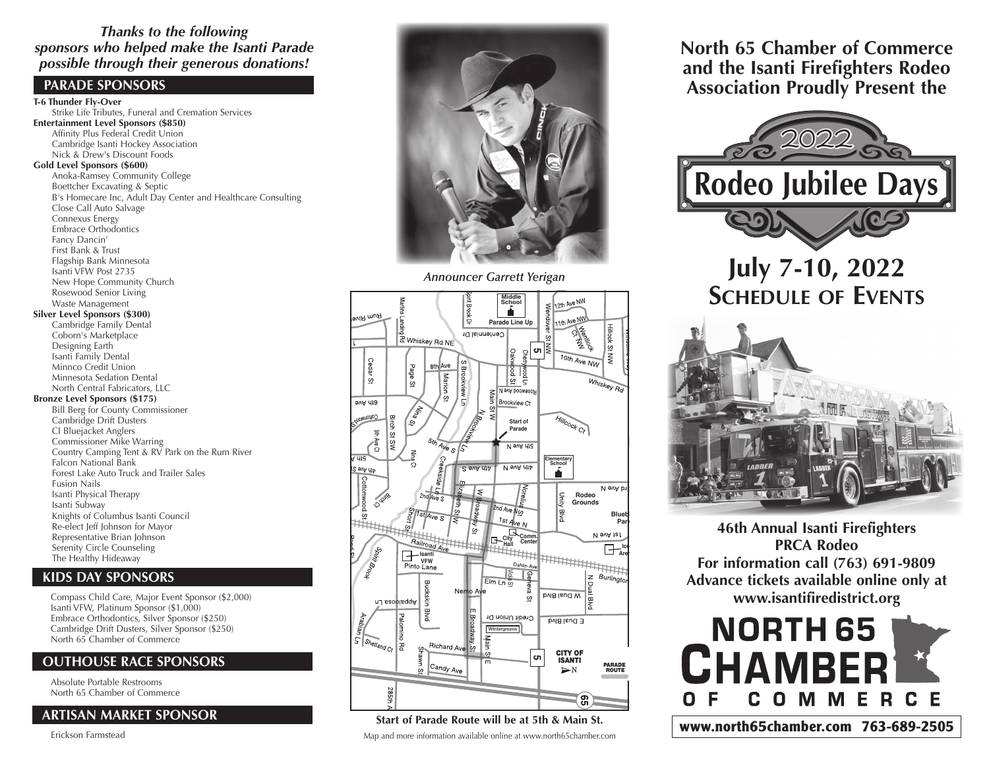### *Thanks to the following sponsors who helped make the Isanti Parade possible through their generous donations!*

### **PARADE SPONSORS**

**T-6 Thunder Fly-Over** Strike Life Tributes, Funeral and Cremation Services **Entertainment Level Sponsors (\$850)** Affinity Plus Federal Credit Union Cambridge Isanti Hockey Association Nick & Drew's Discount Foods **Gold Level Sponsors (\$600)** Anoka-Ramsey Community College Boettcher Excavating & Septic B's Homecare Inc, Adult Day Center and Healthcare Consulting Close Call Auto Salvage Connexus Energy Embrace Orthodontics Fancy Dancin' First Bank & Trust Flagship Bank Minnesota Isanti VFW Post 2735 New Hope Community Church Rosewood Senior Living Waste Management **Silver Level Sponsors (\$300)** Cambridge Family Dental Coborn's Marketplace Designing Earth Isanti Family Dental Minnco Credit Union Minnesota Sedation Dental North Central Fabricators, LLC **Bronze Level Sponsors (\$175)** Bill Berg for County Commissioner Cambridge Drift Dusters CI Bluejacket Anglers Commissioner Mike Warring Country Camping Tent & RV Park on the Rum River Falcon National Bank Forest Lake Auto Truck and Trailer Sales Fusion Nails Isanti Physical Therapy Isanti Subway Knights of Columbus Isanti Council Re-elect Jeff Johnson for Mayor Representative Brian Johnson Serenity Circle Counseling The Healthy Hideaway

### **KIDS DAY SPONSORS**

Compass Child Care, Major Event Sponsor (\$2,000) Isanti VFW, Platinum Sponsor (\$1,000) Embrace Orthodontics, Silver Sponsor (\$250) Cambridge Drift Dusters, Silver Sponsor (\$250) North 65 Chamber of Commerce

### **OUTHOUSE RACE SPONSORS**

Absolute Portable Restrooms North 65 Chamber of Commerce

### **ARTISAN MARKET SPONSOR**

Erickson Farmstead



*Announcer Garrett Yerigan*



### Start of Parade Route will be at 5th & Main St. Map and more information available online at www.north65chamber.com

**North 65 Chamber of Commerce and the Isanti Firefighters Rodeo Association Proudly Present the**



## **July 7-10, 2022 Schedule of Events**



**46th Annual Isanti Firefighters PRCA Rodeo For information call (763) 691-9809 Advance tickets available online only at www.isantifiredistrict.org**



**www.north65chamber.com 763-689-2505**